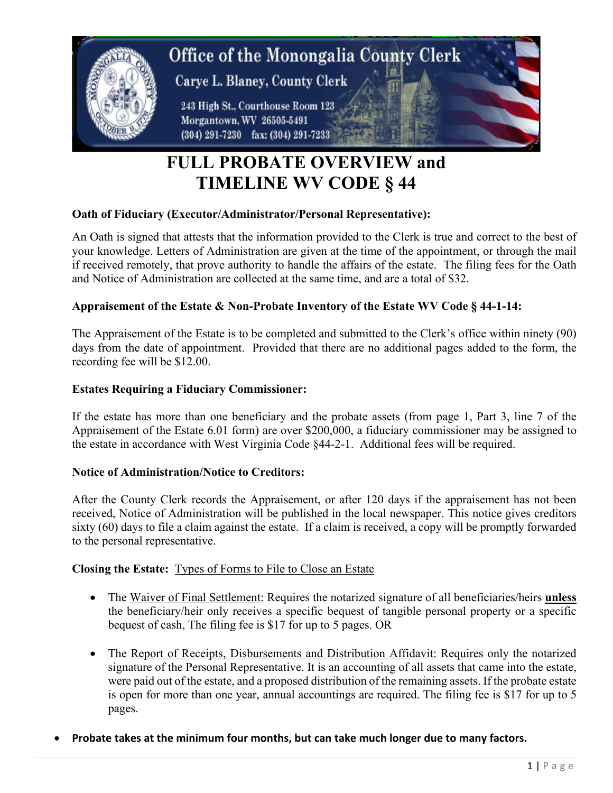

# **FULL PROBATE OVERVIEW and TIMELINE WV CODE § 44**

# **Oath of Fiduciary (Executor/Administrator/Personal Representative):**

An Oath is signed that attests that the information provided to the Clerk is true and correct to the best of your knowledge. Letters of Administration are given at the time of the appointment, or through the mail if received remotely, that prove authority to handle the affairs of the estate. The filing fees for the Oath and Notice of Administration are collected at the same time, and are a total of \$32.

# **Appraisement of the Estate & Non-Probate Inventory of the Estate WV Code § 44-1-14:**

The Appraisement of the Estate is to be completed and submitted to the Clerk's office within ninety (90) days from the date of appointment. Provided that there are no additional pages added to the form, the recording fee will be \$12.00.

## **Estates Requiring a Fiduciary Commissioner:**

If the estate has more than one beneficiary and the probate assets (from page 1, Part 3, line 7 of the Appraisement of the Estate 6.01 form) are over \$200,000, a fiduciary commissioner may be assigned to the estate in accordance with West Virginia Code §44-2-1. Additional fees will be required.

### **Notice of Administration/Notice to Creditors:**

After the County Clerk records the Appraisement, or after 120 days if the appraisement has not been received, Notice of Administration will be published in the local newspaper. This notice gives creditors sixty (60) days to file a claim against the estate. If a claim is received, a copy will be promptly forwarded to the personal representative.

### **Closing the Estate:** Types of Forms to File to Close an Estate

- The Waiver of Final Settlement: Requires the notarized signature of all beneficiaries/heirs **unless** the beneficiary/heir only receives a specific bequest of tangible personal property or a specific bequest of cash, The filing fee is \$17 for up to 5 pages. OR
- The Report of Receipts, Disbursements and Distribution Affidavit: Requires only the notarized signature of the Personal Representative. It is an accounting of all assets that came into the estate, were paid out of the estate, and a proposed distribution of the remaining assets. If the probate estate is open for more than one year, annual accountings are required. The filing fee is \$17 for up to 5 pages.
- **Probate takes at the minimum four months, but can take much longer due to many factors.**